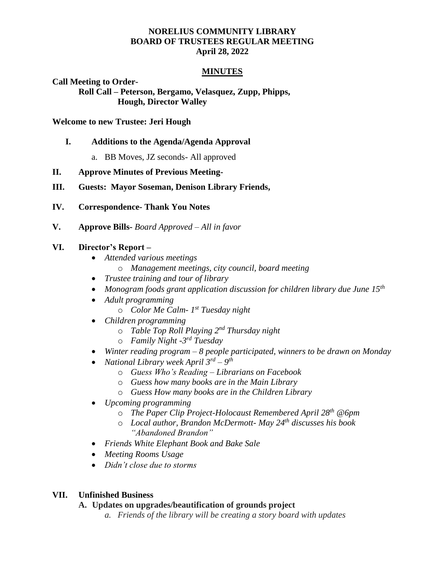### **NORELIUS COMMUNITY LIBRARY BOARD OF TRUSTEES REGULAR MEETING April 28, 2022**

#### **MINUTES**

**Call Meeting to Order-**

**Roll Call – Peterson, Bergamo, Velasquez, Zupp, Phipps, Hough, Director Walley**

#### **Welcome to new Trustee: Jeri Hough**

- **I. Additions to the Agenda/Agenda Approval**
	- a. BB Moves, JZ seconds- All approved
- **II. Approve Minutes of Previous Meeting-**

#### **III. Guests: Mayor Soseman, Denison Library Friends,**

- **IV. Correspondence- Thank You Notes**
- **V. Approve Bills-** *Board Approved – All in favor*

#### **VI. Director's Report –**

- *Attended various meetings*
	- o *Management meetings, city council, board meeting*
- *Trustee training and tour of library*
- *Monogram foods grant application discussion for children library due June 15th*
- *Adult programming* 
	- o *Color Me Calm- 1 st Tuesday night*
- *Children programming* 
	- o *Table Top Roll Playing 2nd Thursday night*
	- o *Family Night -3 rd Tuesday*
- *Winter reading program – 8 people participated, winners to be drawn on Monday*
- *National Library week April 3rd – 9 th*
	- o *Guess Who's Reading – Librarians on Facebook*
	- o *Guess how many books are in the Main Library*
	- o *Guess How many books are in the Children Library*
- *Upcoming programming*
	- o *The Paper Clip Project-Holocaust Remembered April 28th @6pm*
	- o *Local author, Brandon McDermott- May 24th discusses his book "Abandoned Brandon"*
- *Friends White Elephant Book and Bake Sale*
- *Meeting Rooms Usage*
- *Didn't close due to storms*

### **VII. Unfinished Business**

#### **A. Updates on upgrades/beautification of grounds project**

*a. Friends of the library will be creating a story board with updates*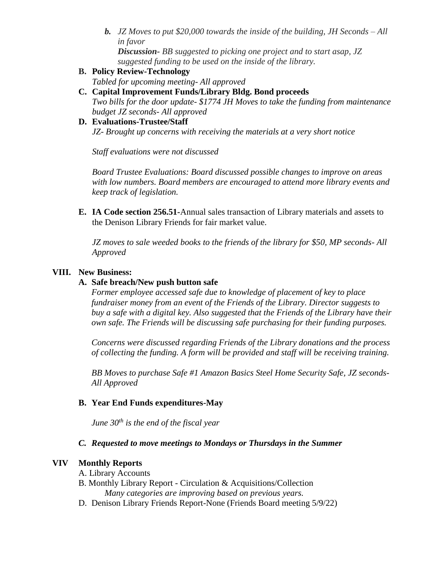*b. JZ Moves to put \$20,000 towards the inside of the building, JH Seconds – All in favor*

*Discussion- BB suggested to picking one project and to start asap, JZ suggested funding to be used on the inside of the library.*

- **B. Policy Review-Technology** 
	- *Tabled for upcoming meeting- All approved*
- **C. Capital Improvement Funds/Library Bldg. Bond proceeds** *Two bills for the door update- \$1774 JH Moves to take the funding from maintenance budget JZ seconds- All approved*
- **D. Evaluations-Trustee/Staff** *JZ- Brought up concerns with receiving the materials at a very short notice*

*Staff evaluations were not discussed* 

*Board Trustee Evaluations: Board discussed possible changes to improve on areas with low numbers. Board members are encouraged to attend more library events and keep track of legislation.* 

**E. IA Code section 256.51-**Annual sales transaction of Library materials and assets to the Denison Library Friends for fair market value.

*JZ moves to sale weeded books to the friends of the library for \$50, MP seconds- All Approved* 

# **VIII. New Business:**

# **A. Safe breach/New push button safe**

*Former employee accessed safe due to knowledge of placement of key to place fundraiser money from an event of the Friends of the Library. Director suggests to buy a safe with a digital key. Also suggested that the Friends of the Library have their own safe. The Friends will be discussing safe purchasing for their funding purposes.* 

*Concerns were discussed regarding Friends of the Library donations and the process of collecting the funding. A form will be provided and staff will be receiving training.* 

*BB Moves to purchase Safe #1 Amazon Basics Steel Home Security Safe, JZ seconds-All Approved*

# **B. Year End Funds expenditures-May**

*June 30th is the end of the fiscal year* 

# *C. Requested to move meetings to Mondays or Thursdays in the Summer*

# **VIV Monthly Reports**

- A. Library Accounts
- B. Monthly Library Report Circulation & Acquisitions/Collection *Many categories are improving based on previous years.*
- D. Denison Library Friends Report-None (Friends Board meeting 5/9/22)